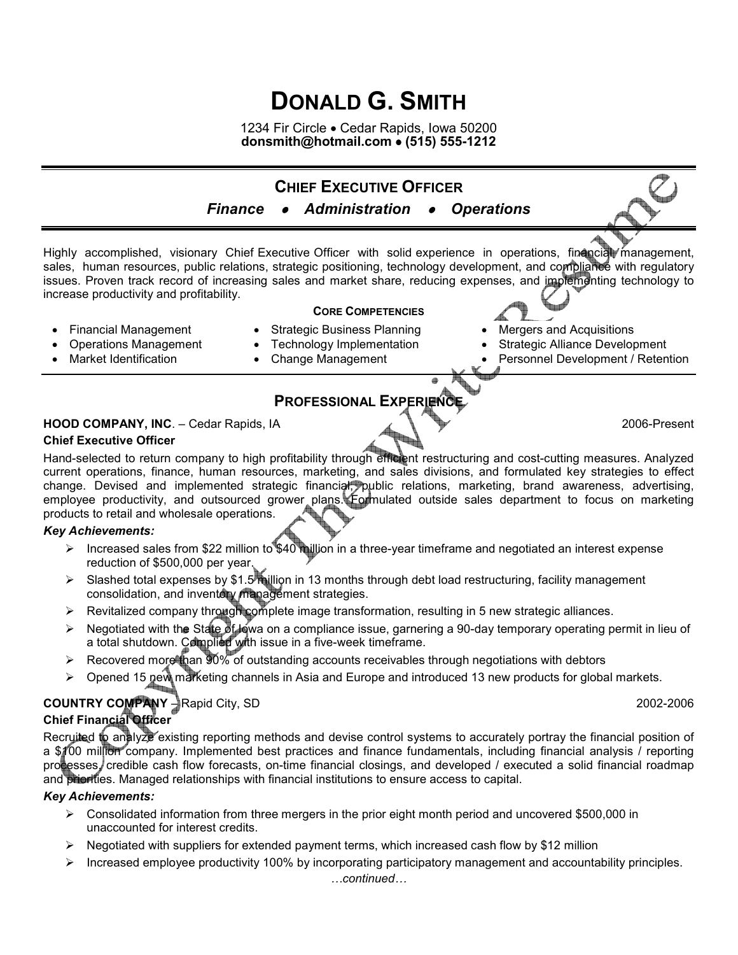# **DONALD G. SMITH**

1234 Fir Circle • Cedar Rapids, Iowa 50200 **donsmith@hotmail.com** • **(515) 555-1212** 



## **PROFESSIONAL EXPERIENC**

## **HOOD COMPANY, INC.** – Cedar Rapids, IA 2006-Present

**Chief Executive Officer** 

Hand-selected to return company to high profitability through efficient restructuring and cost-cutting measures. Analyzed current operations, finance, human resources, marketing, and sales divisions, and formulated key strategies to effect change. Devised and implemented strategic financial, public relations, marketing, brand awareness, advertising, employee productivity, and outsourced grower plans. Formulated outside sales department to focus on marketing products to retail and wholesale operations.

#### *Key Achievements:*

- Increased sales from \$22 million to \$40 million in a three-year timeframe and negotiated an interest expense reduction of \$500,000 per year.
- $\triangleright$  Slashed total expenses by \$1.5 million in 13 months through debt load restructuring, facility management consolidation, and inventory management strategies.
- $\triangleright$  Revitalized company through complete image transformation, resulting in 5 new strategic alliances.
- ▶ Negotiated with the State of Iowa on a compliance issue, garnering a 90-day temporary operating permit in lieu of a total shutdown. Complied with issue in a five-week timeframe.
- $\triangleright$  Recovered more than 90% of outstanding accounts receivables through negotiations with debtors
- $\triangleright$  Opened 15 new marketing channels in Asia and Europe and introduced 13 new products for global markets.

### **COUNTRY COMPANY** – Rapid City, SD 2002-2006 **Chief Financial Officer**

Recruited to analyze existing reporting methods and devise control systems to accurately portray the financial position of a \$100 million company. Implemented best practices and finance fundamentals, including financial analysis / reporting processes, credible cash flow forecasts, on-time financial closings, and developed / executed a solid financial roadmap and priorities. Managed relationships with financial institutions to ensure access to capital.

#### *Key Achievements:*

- $\triangleright$  Consolidated information from three mergers in the prior eight month period and uncovered \$500,000 in unaccounted for interest credits.
- $\triangleright$  Negotiated with suppliers for extended payment terms, which increased cash flow by \$12 million
- $\triangleright$  Increased employee productivity 100% by incorporating participatory management and accountability principles.